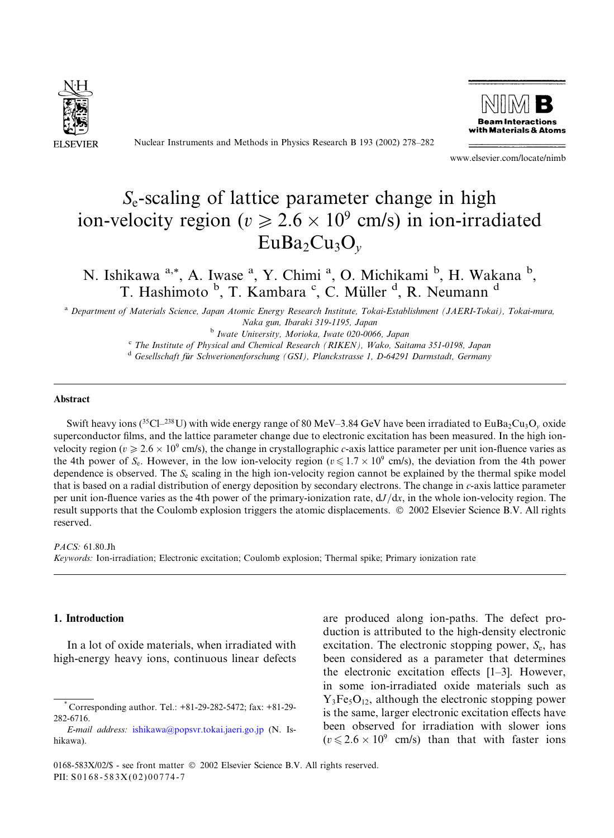

Nuclear Instruments and Methods in Physics Research B 193(2002) 278–282



www.elsevier.com/locate/nimb

# Se-scaling of lattice parameter change in high ion-velocity region ( $v \ge 2.6 \times 10^9$  cm/s) in ion-irradiated  $EuBa<sub>2</sub>Cu<sub>3</sub>O<sub>v</sub>$

N. Ishikawa <sup>a,\*</sup>, A. Iwase <sup>a</sup>, Y. Chimi <sup>a</sup>, O. Michikami <sup>b</sup>, H. Wakana <sup>b</sup>, T. Hashimoto <sup>b</sup>, T. Kambara <sup>c</sup>, C. Müller <sup>d</sup>, R. Neumann <sup>d</sup>

<sup>a</sup> Department of Materials Science, Japan Atomic Energy Research Institute, Tokai-Establishment (JAERI-Tokai), Tokai-mura,

Naka gun, Ibaraki 319-1195, Japan

<sup>b</sup> Iwate University, Morioka, Iwate 020-0066, Japan

<sup>c</sup> The Institute of Physical and Chemical Research (RIKEN), Wako, Saitama 351-0198, Japan

<sup>d</sup> Gesellschaft für Schwerionenforschung (GSI), Planckstrasse 1, D-64291 Darmstadt, Germany

#### Abstract

Swift heavy ions ( $^{35}$ Cl– $^{238}$ U) with wide energy range of 80 MeV–3.84 GeV have been irradiated to EuBa<sub>2</sub>Cu<sub>3</sub>O<sub>y</sub> oxide superconductor films, and the lattice parameter change due to electronic excitation has been measured. In the high ionvelocity region ( $v \ge 2.6 \times 10^9$  cm/s), the change in crystallographic c-axis lattice parameter per unit ion-fluence varies as the 4th power of  $S_e$ . However, in the low ion-velocity region ( $v \le 1.7 \times 10^9$  cm/s), the deviation from the 4th power dependence is observed. The  $S_e$  scaling in the high ion-velocity region cannot be explained by the thermal spike model that is based on a radial distribution of energy deposition by secondary electrons. The change in c-axis lattice parameter per unit ion-fluence varies as the 4th power of the primary-ionization rate,  $dJ/dx$ , in the whole ion-velocity region. The result supports that the Coulomb explosion triggers the atomic displacements.  $\odot$  2002 Elsevier Science B.V. All rights reserved.

#### PACS: 61.80.Jh

Keywords: Ion-irradiation; Electronic excitation; Coulomb explosion; Thermal spike; Primary ionization rate

## 1. Introduction

In a lot of oxide materials, when irradiated with high-energy heavy ions, continuous linear defects are produced along ion-paths. The defect production is attributed to the high-density electronic excitation. The electronic stopping power,  $S_e$ , has been considered as a parameter that determines the electronic excitation effects [1–3]. However, in some ion-irradiated oxide materials such as  $Y_3Fe_5O_{12}$ , although the electronic stopping power is the same, larger electronic excitation effects have been observed for irradiation with slower ions  $(v \le 2.6 \times 10^9$  cm/s) than that with faster ions

<sup>\*</sup> Corresponding author. Tel.: +81-29-282-5472; fax: +81-29- 282-6716.

E-mail address: [ishikawa@popsvr.tokai.jaeri.go.jp](mail to: ishikawa@popsvr.tokai.jaeri.go.jp) (N. Ishikawa).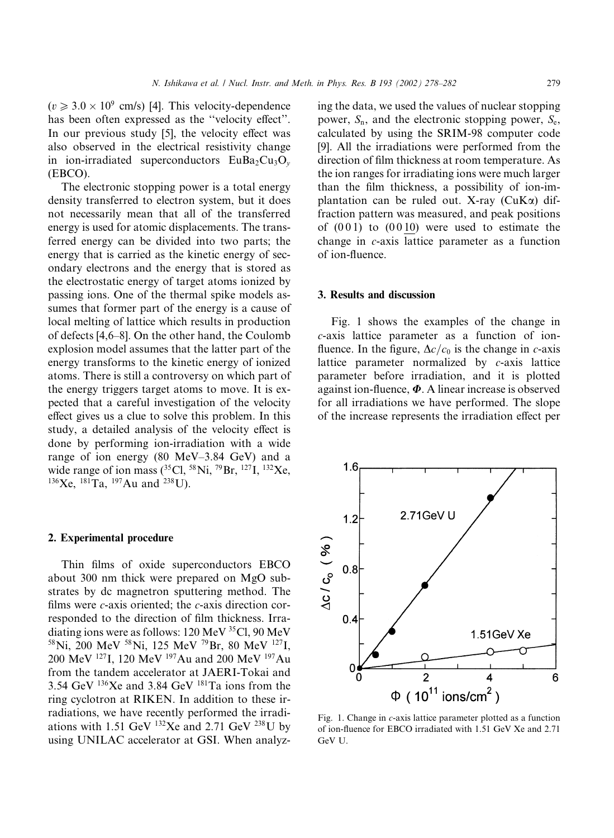$(v \geq 3.0 \times 10^9 \text{ cm/s})$  [4]. This velocity-dependence has been often expressed as the ''velocity effect''. In our previous study [5], the velocity effect was also observed in the electrical resistivity change in ion-irradiated superconductors  $EuBa_2Cu_3O_v$ (EBCO).

The electronic stopping power is a total energy density transferred to electron system, but it does not necessarily mean that all of the transferred energy is used for atomic displacements. The transferred energy can be divided into two parts; the energy that is carried as the kinetic energy of secondary electrons and the energy that is stored as the electrostatic energy of target atoms ionized by passing ions. One of the thermal spike models assumes that former part of the energy is a cause of local melting of lattice which results in production of defects [4,6–8]. On the other hand, the Coulomb explosion model assumes that the latter part of the energy transforms to the kinetic energy of ionized atoms. There is still a controversy on which part of the energy triggers target atoms to move. It is expected that a careful investigation of the velocity effect gives us a clue to solve this problem. In this study, a detailed analysis of the velocity effect is done by performing ion-irradiation with a wide range of ion energy (80 MeV–3.84 GeV) and a wide range of ion mass  $(^{35}Cl, {}^{58}Ni, {}^{79}Br, {}^{127}I, {}^{132}Xe,$  $136$ Xe,  $181$ Ta,  $197$ Au and  $238$ U).

#### 2. Experimental procedure

Thin films of oxide superconductors EBCO about 300 nm thick were prepared on MgO substrates by dc magnetron sputtering method. The films were  $c$ -axis oriented; the  $c$ -axis direction corresponded to the direction of film thickness. Irradiating ions were as follows: 120 MeV  ${}^{35}$ Cl, 90 MeV 58Ni, 200 MeV 58Ni, 125 MeV 79Br, 80 MeV 127I, 200 MeV 127I, 120 MeV 197Au and 200 MeV 197Au from the tandem accelerator at JAERI-Tokai and 3.54 GeV 136Xe and 3.84 GeV 181Ta ions from the ring cyclotron at RIKEN. In addition to these irradiations, we have recently performed the irradiations with 1.51 GeV  $^{132}$ Xe and 2.71 GeV  $^{238}$ U by using UNILAC accelerator at GSI. When analyzing the data, we used the values of nuclear stopping power,  $S_n$ , and the electronic stopping power,  $S_e$ , calculated by using the SRIM-98 computer code [9]. All the irradiations were performed from the direction of film thickness at room temperature. As the ion ranges for irradiating ions were much larger than the film thickness, a possibility of ion-implantation can be ruled out. X-ray  $(CuK\alpha)$  diffraction pattern was measured, and peak positions of  $(001)$  to  $(0010)$  were used to estimate the change in c-axis lattice parameter as a function of ion-fluence.

### 3. Results and discussion

Fig. 1 shows the examples of the change in c-axis lattice parameter as a function of ionfluence. In the figure,  $\Delta c/c_0$  is the change in c-axis lattice parameter normalized by c-axis lattice parameter before irradiation, and it is plotted against ion-fluence,  $\Phi$ . A linear increase is observed for all irradiations we have performed. The slope of the increase represents the irradiation effect per



Fig. 1. Change in c-axis lattice parameter plotted as a function of ion-fluence for EBCO irradiated with 1.51 GeV Xe and 2.71 GeV U.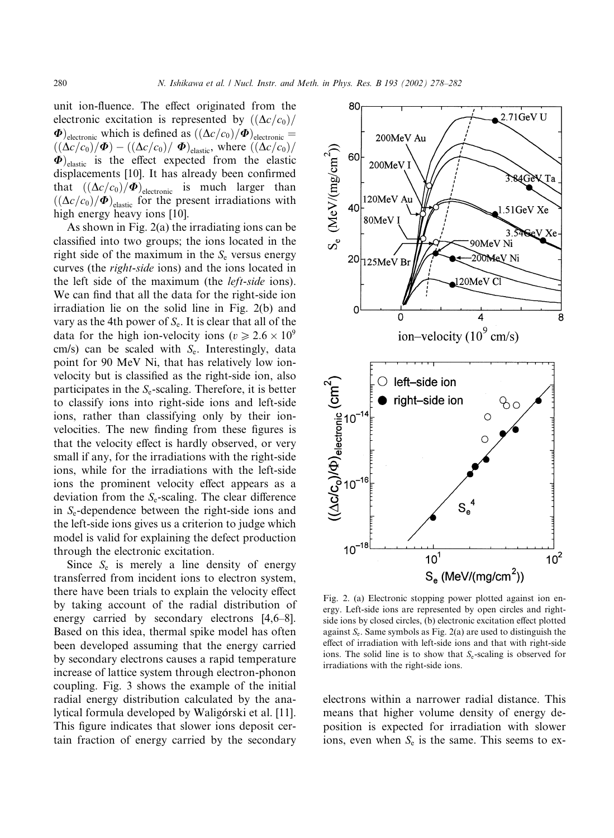unit ion-fluence. The effect originated from the electronic excitation is represented by  $(\Delta c/c_0)$  $\Phi$ <sub>electronic</sub> which is defined as  $((\Delta c/c_0)/\Phi)$ <sub>electronic</sub> =  $\left(\frac{\Delta c/c_0}{\Phi}\right) - \left(\frac{\Delta c/c_0}{\Phi}\right)_{\text{elastic}}$ , where  $\left(\frac{\Delta c/c_0}{\Phi}\right)$  $(\Phi)$ <sub>elastic</sub> is the effect expected from the elastic displacements [10]. It has already been confirmed that  $(\left(\frac{\Delta c}{c_0}\right)/\Phi)_{\text{electronic}}$  is much larger than  $(\left(\Delta c/c_0\right)/\Phi)_{\text{elastic}}$  for the present irradiations with high energy heavy ions [10].

As shown in Fig. 2(a) the irradiating ions can be classified into two groups; the ions located in the right side of the maximum in the  $S_e$  versus energy curves (the right-side ions) and the ions located in the left side of the maximum (the left-side ions). We can find that all the data for the right-side ion irradiation lie on the solid line in Fig. 2(b) and vary as the 4th power of  $S_e$ . It is clear that all of the data for the high ion-velocity ions ( $v \ge 2.6 \times 10^9$ ) cm/s) can be scaled with  $S_e$ . Interestingly, data point for 90 MeV Ni, that has relatively low ionvelocity but is classified as the right-side ion, also participates in the  $S_e$ -scaling. Therefore, it is better to classify ions into right-side ions and left-side ions, rather than classifying only by their ionvelocities. The new finding from these figures is that the velocity effect is hardly observed, or very small if any, for the irradiations with the right-side ions, while for the irradiations with the left-side ions the prominent velocity effect appears as a deviation from the  $S_e$ -scaling. The clear difference in  $S_e$ -dependence between the right-side ions and the left-side ions gives us a criterion to judge which model is valid for explaining the defect production through the electronic excitation.

Since  $S_e$  is merely a line density of energy transferred from incident ions to electron system, there have been trials to explain the velocity effect by taking account of the radial distribution of energy carried by secondary electrons [4,6–8]. Based on this idea, thermal spike model has often been developed assuming that the energy carried by secondary electrons causes a rapid temperature increase of lattice system through electron-phonon coupling. Fig. 3shows the example of the initial radial energy distribution calculated by the analytical formula developed by Waligórski et al. [11]. This figure indicates that slower ions deposit certain fraction of energy carried by the secondary



Fig. 2. (a) Electronic stopping power plotted against ion energy. Left-side ions are represented by open circles and rightside ions by closed circles, (b) electronic excitation effect plotted against  $S_e$ . Same symbols as Fig. 2(a) are used to distinguish the effect of irradiation with left-side ions and that with right-side ions. The solid line is to show that  $S<sub>e</sub>$ -scaling is observed for irradiations with the right-side ions.

electrons within a narrower radial distance. This means that higher volume density of energy deposition is expected for irradiation with slower ions, even when  $S_e$  is the same. This seems to ex-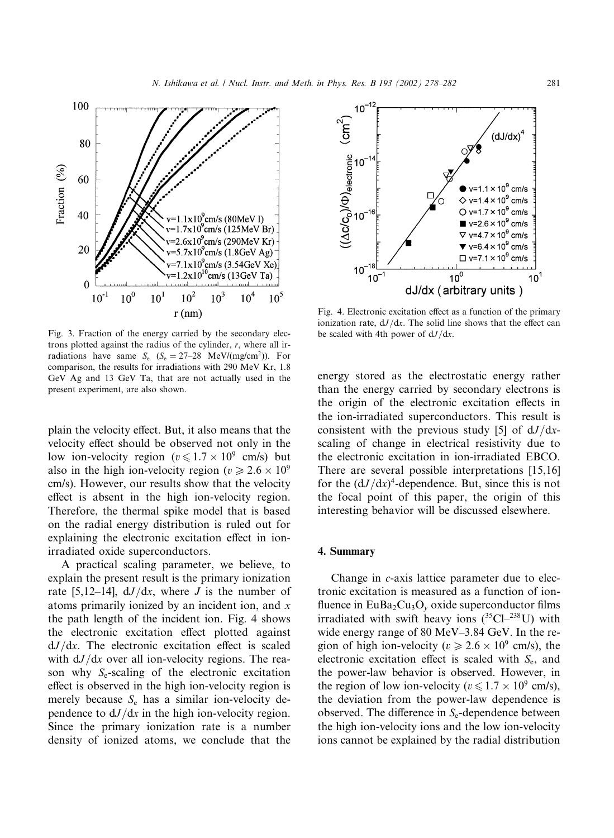

Fig. 3. Fraction of the energy carried by the secondary electrons plotted against the radius of the cylinder,  $r$ , where all irradiations have same  $S_e$  ( $S_e = 27-28$  MeV/(mg/cm<sup>2</sup>)). For comparison, the results for irradiations with 290 MeV Kr, 1.8 GeV Ag and 13GeV Ta, that are not actually used in the present experiment, are also shown.

plain the velocity effect. But, it also means that the velocity effect should be observed not only in the low ion-velocity region ( $v \le 1.7 \times 10^9$  cm/s) but also in the high ion-velocity region ( $v \ge 2.6 \times 10^9$ ) cm/s). However, our results show that the velocity effect is absent in the high ion-velocity region. Therefore, the thermal spike model that is based on the radial energy distribution is ruled out for explaining the electronic excitation effect in ionirradiated oxide superconductors.

A practical scaling parameter, we believe, to explain the present result is the primary ionization rate [5,12–14],  $dJ/dx$ , where J is the number of atoms primarily ionized by an incident ion, and  $x$ the path length of the incident ion. Fig. 4 shows the electronic excitation effect plotted against  $dJ/dx$ . The electronic excitation effect is scaled with  $dJ/dx$  over all ion-velocity regions. The reason why  $S_e$ -scaling of the electronic excitation effect is observed in the high ion-velocity region is merely because  $S_e$  has a similar ion-velocity dependence to  $dJ/dx$  in the high ion-velocity region. Since the primary ionization rate is a number density of ionized atoms, we conclude that the



Fig. 4. Electronic excitation effect as a function of the primary ionization rate,  $dJ/dx$ . The solid line shows that the effect can be scaled with 4th power of  $dJ/dx$ .

energy stored as the electrostatic energy rather than the energy carried by secondary electrons is the origin of the electronic excitation effects in the ion-irradiated superconductors. This result is consistent with the previous study [5] of  $dJ/dx$ scaling of change in electrical resistivity due to the electronic excitation in ion-irradiated EBCO. There are several possible interpretations [15,16] for the  $(dJ/dx)^4$ -dependence. But, since this is not the focal point of this paper, the origin of this interesting behavior will be discussed elsewhere.

#### 4. Summary

Change in  $c$ -axis lattice parameter due to electronic excitation is measured as a function of ionfluence in EuBa<sub>2</sub>Cu<sub>3</sub>O<sub>y</sub> oxide superconductor films irradiated with swift heavy ions  $(^{35}Cl-^{238}U)$  with wide energy range of 80 MeV–3.84 GeV. In the region of high ion-velocity ( $v \ge 2.6 \times 10^9$  cm/s), the electronic excitation effect is scaled with  $S_{\rm e}$ , and the power-law behavior is observed. However, in the region of low ion-velocity ( $v \le 1.7 \times 10^9$  cm/s), the deviation from the power-law dependence is observed. The difference in  $S_e$ -dependence between the high ion-velocity ions and the low ion-velocity ions cannot be explained by the radial distribution